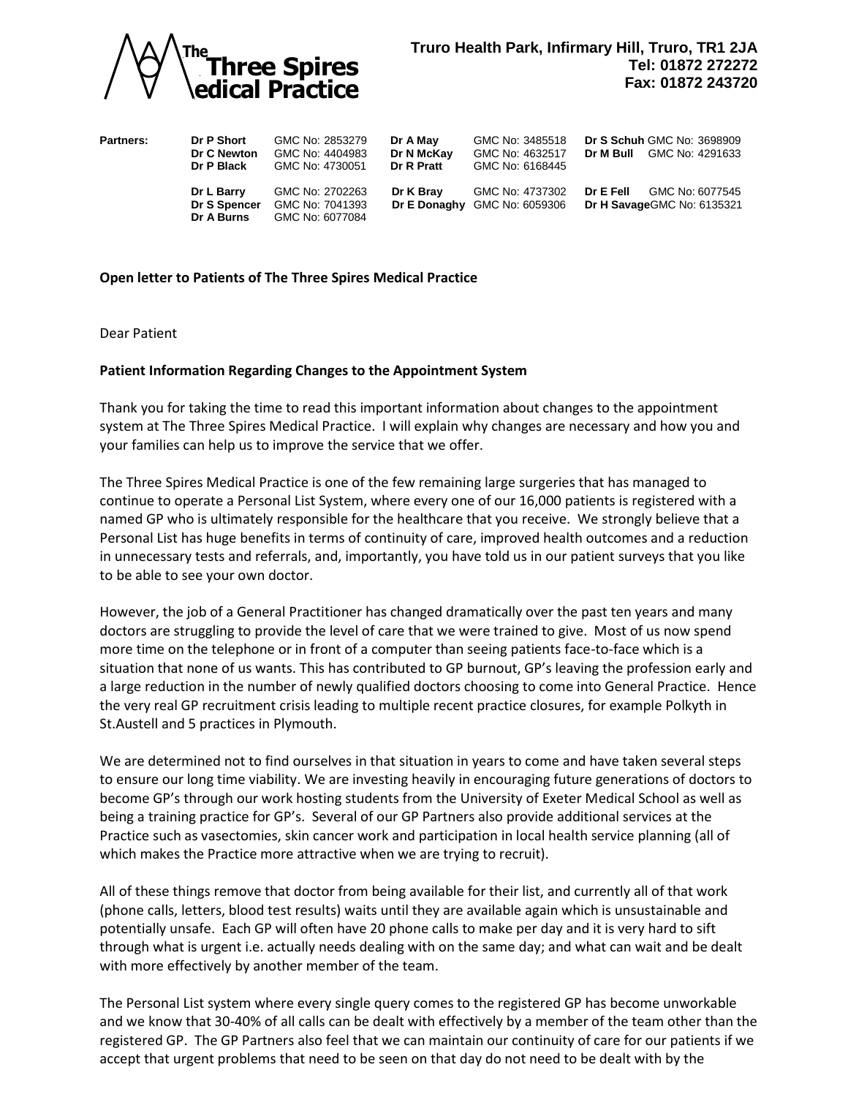

| <b>Partners:</b> | Dr P Short<br>Dr C Newton<br>Dr P Black  | GMC No: 2853279<br>GMC No: 4404983<br>GMC No: 4730051 | Dr A May<br>Dr N McKay<br>Dr R Pratt | GMC No: 3485518<br>GMC No: 4632517<br>GMC No: 6168445 | <b>Dr S Schuh GMC No: 3698909</b><br>GMC No: 4291633<br>Dr M Bull |  |
|------------------|------------------------------------------|-------------------------------------------------------|--------------------------------------|-------------------------------------------------------|-------------------------------------------------------------------|--|
|                  | Dr L Barry<br>Dr S Spencer<br>Dr A Burns | GMC No: 2702263<br>GMC No: 7041393<br>GMC No: 6077084 | Dr K Bray                            | GMC No: 4737302<br>Dr E Donaghy GMC No: 6059306       | GMC No: 6077545<br>Dr E Fell<br>Dr H Savage GMC No: 6135321       |  |

## **Open letter to Patients of The Three Spires Medical Practice**

Dear Patient

## **Patient Information Regarding Changes to the Appointment System**

Thank you for taking the time to read this important information about changes to the appointment system at The Three Spires Medical Practice. I will explain why changes are necessary and how you and your families can help us to improve the service that we offer.

The Three Spires Medical Practice is one of the few remaining large surgeries that has managed to continue to operate a Personal List System, where every one of our 16,000 patients is registered with a named GP who is ultimately responsible for the healthcare that you receive. We strongly believe that a Personal List has huge benefits in terms of continuity of care, improved health outcomes and a reduction in unnecessary tests and referrals, and, importantly, you have told us in our patient surveys that you like to be able to see your own doctor.

However, the job of a General Practitioner has changed dramatically over the past ten years and many doctors are struggling to provide the level of care that we were trained to give. Most of us now spend more time on the telephone or in front of a computer than seeing patients face-to-face which is a situation that none of us wants. This has contributed to GP burnout, GP's leaving the profession early and a large reduction in the number of newly qualified doctors choosing to come into General Practice. Hence the very real GP recruitment crisis leading to multiple recent practice closures, for example Polkyth in St.Austell and 5 practices in Plymouth. **And Three Spires Control of the seed to the seed to be seen on the seed to be seen on the seed to be seen on the seed to be seen on the seed to be seen on the seed to be seen on the seed to be seen on the seed to be see** 

We are determined not to find ourselves in that situation in years to come and have taken several steps to ensure our long time viability. We are investing heavily in encouraging future generations of doctors to become GP's through our work hosting students from the University of Exeter Medical School as well as being a training practice for GP's. Several of our GP Partners also provide additional services at the Practice such as vasectomies, skin cancer work and participation in local health service planning (all of which makes the Practice more attractive when we are trying to recruit).

All of these things remove that doctor from being available for their list, and currently all of that work (phone calls, letters, blood test results) waits until they are available again which is unsustainable and potentially unsafe. Each GP will often have 20 phone calls to make per day and it is very hard to sift through what is urgent i.e. actually needs dealing with on the same day; and what can wait and be dealt with more effectively by another member of the team.

The Personal List system where every single query comes to the registered GP has become unworkable and we know that 30-40% of all calls can be dealt with effectively by a member of the team other than the registered GP. The GP Partners also feel that we can maintain our continuity of care for our patients if we